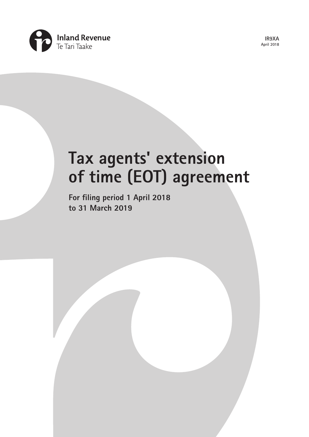

**IR9XA April 2018**

# **Tax agents' extension of time (EOT) agreement**

**For filing period 1 April 2018 to 31 March 2019**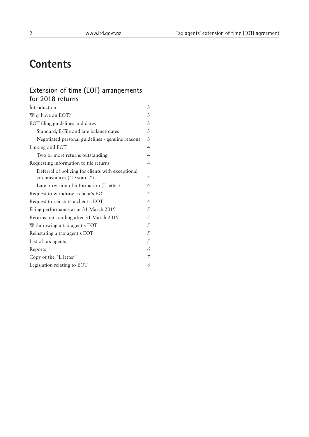# **Contents**

# **Extension of time (EOT) arrangements for 2018 returns**

| Introduction                                      | 3              |
|---------------------------------------------------|----------------|
| Why have an EOT?                                  | 3              |
| EOT filing guidelines and dates                   | 3              |
| Standard, E-File and late balance dates           | 3              |
| Negotiated personal guidelines - genuine reasons  | 3              |
| Linking and EOT                                   | $\overline{4}$ |
| Two or more returns outstanding                   | 4              |
| Requesting information to file returns            | $\overline{4}$ |
| Deferral of policing for clients with exceptional |                |
| circumstances ("D status")                        | $\overline{4}$ |
| Late provision of information (L letter)          | $\overline{4}$ |
| Request to withdraw a client's EOT                | $\overline{4}$ |
| Request to reinstate a client's EOT               | $\overline{4}$ |
| Filing performance as at 31 March 2019            | 5              |
| Returns outstanding after 31 March 2019           | 5              |
| Withdrawing a tax agent's EOT                     | 5              |
| Reinstating a tax agent's EOT                     | 5              |
| List of tax agents                                | 5              |
| Reports                                           | 6              |
| Copy of the "L letter"                            | 7              |
| Legislation relating to EOT                       | 8              |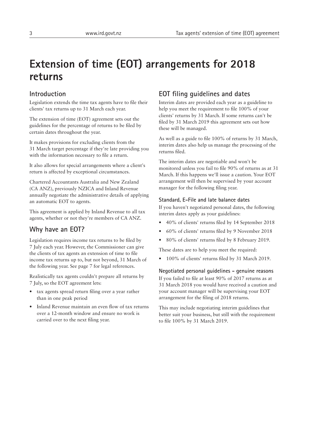# **Extension of time (EOT) arrangements for 2018 returns**

# **Introduction**

Legislation extends the time tax agents have to file their clients' tax returns up to 31 March each year.

The extension of time (EOT) agreement sets out the guidelines for the percentage of returns to be filed by certain dates throughout the year.

It makes provisions for excluding clients from the 31 March target percentage if they're late providing you with the information necessary to file a return.

It also allows for special arrangements where a client's return is affected by exceptional circumstances.

Chartered Accountants Australia and New Zealand (CA ANZ), previously NZICA and Inland Revenue annually negotiate the administrative details of applying an automatic EOT to agents.

This agreement is applied by Inland Revenue to all tax agents, whether or not they're members of CA ANZ.

# **Why have an EOT?**

Legislation requires income tax returns to be filed by 7 July each year. However, the Commissioner can give the clients of tax agents an extension of time to file income tax returns up to, but not beyond, 31 March of the following year. See page 7 for legal references.

Realistically tax agents couldn't prepare all returns by 7 July, so the EOT agreement lets:

- tax agents spread return filing over a year rather than in one peak period
- Inland Revenue maintain an even flow of tax returns over a 12-month window and ensure no work is carried over to the next filing year.

# **EOT filing guidelines and dates**

Interim dates are provided each year as a guideline to help you meet the requirement to file 100% of your clients' returns by 31 March. If some returns can't be filed by 31 March 2019 this agreement sets out how these will be managed.

As well as a guide to file 100% of returns by 31 March, interim dates also help us manage the processing of the returns filed.

The interim dates are negotiable and won't be monitored unless you fail to file 90% of returns as at 31 March. If this happens we'll issue a caution. Your EOT arrangement will then be supervised by your account manager for the following filing year.

#### **Standard, E-File and late balance dates**

If you haven't negotiated personal dates, the following interim dates apply as your guidelines:

- 40% of clients' returns filed by 14 September 2018
- 60% of clients' returns filed by 9 November 2018
- 80% of clients' returns filed by 8 February 2019.

These dates are to help you meet the required:

• 100% of clients' returns filed by 31 March 2019.

**Negotiated personal guidelines - genuine reasons**

If you failed to file at least 90% of 2017 returns as at 31 March 2018 you would have received a caution and your account manager will be supervising your EOT arrangement for the filing of 2018 returns.

This may include negotiating interim guidelines that better suit your business, but still with the requirement to file 100% by 31 March 2019.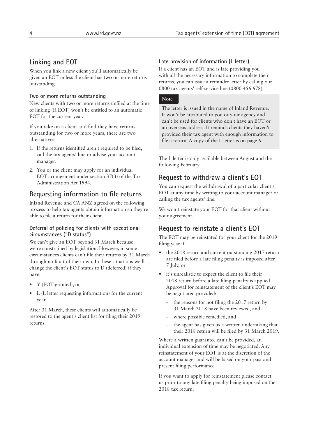# **Linking and EOT**

When you link a new client you'll automatically be given an EOT unless the client has two or more returns outstanding.

#### **Two or more returns outstanding**

New clients with two or more returns unfiled at the time of linking (R EOT) won't be entitled to an automatic EOT for the current year.

If you take on a client and find they have returns outstanding for two or more years, there are two alternatives:

- 1. If the returns identified aren't required to be filed, call the tax agents' line or advise your account manager.
- 2. You or the client may apply for an individual EOT arrangement under section 37(3) of the Tax Administration Act 1994.

# **Requesting information to file returns**

Inland Revenue and CA ANZ agreed on the following process to help tax agents obtain information so they're able to file a return for their client.

#### **Deferral of policing for clients with exceptional circumstances ("D status")**

We can't give an EOT beyond 31 March because we're constrained by legislation. However, in some circumstances clients can't file their returns by 31 March through no fault of their own. In these situations we'll change the client's EOT status to D (deferred) if they have:

- Y (EOT granted), or
- L (L letter requesting information) for the current year.

After 31 March, these clients will automatically be restored to the agent's client list for filing their 2019 returns.

#### **Late provision of information (L letter)**

If a client has an EOT and is late providing you with all the necessary information to complete their returns, you can issue a reminder letter by calling our 0800 tax agents' self-service line (0800 456 678).

#### **Note**

The letter is issued in the name of Inland Revenue. It won't be attributed to you or your agency and can't be used for clients who don't have an EOT or an overseas address. It reminds clients they haven't provided their tax agent with enough information to file a return. A copy of the L letter is on page 6.

The L letter is only available between August and the following February.

# **Request to withdraw a client's EOT**

You can request the withdrawal of a particular client's EOT at any time by writing to your account manager or calling the tax agents' line.

We won't reinstate your EOT for that client without your agreement.

# **Request to reinstate a client's EOT**

The EOT may be reinstated for your client for the 2019 filing year if:

- the 2018 return and current outstanding 2017 return are filed before a late filing penalty is imposed after 7 July, or
- it's unrealistic to expect the client to file their 2018 return before a late filing penalty is applied. Approval for reinstatement of the client's EOT may be negotiated provided:
	- the reasons for not filing the 2017 return by 31 March 2018 have been reviewed, and
	- where possible remedied, and
	- the agent has given us a written undertaking that their 2018 return will be filed by 31 March 2019.

Where a written guarantee can't be provided, an individual extension of time may be negotiated. Any reinstatement of your EOT is at the discretion of the account manager and will be based on your past and present filing performance.

If you want to apply for reinstatement please contact us prior to any late filing penalty being imposed on the 2018 tax return.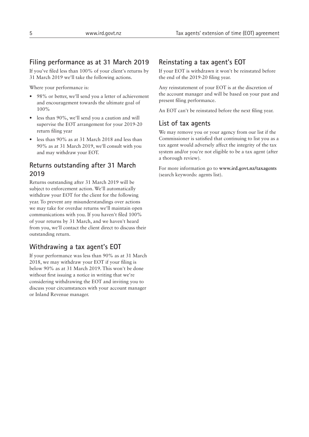# **Filing performance as at 31 March 2019**

If you've filed less than 100% of your client's returns by 31 March 2019 we'll take the following actions.

Where your performance is:

- 98% or better, we'll send you a letter of achievement and encouragement towards the ultimate goal of 100%
- less than 90%, we'll send you a caution and will supervise the EOT arrangement for your 2019-20 return filing year
- less than 90% as at 31 March 2018 and less than 90% as at 31 March 2019, we'll consult with you and may withdraw your EOT.

# **Returns outstanding after 31 March 2019**

Returns outstanding after 31 March 2019 will be subject to enforcement action. We'll automatically withdraw your EOT for the client for the following year. To prevent any misunderstandings over actions we may take for overdue returns we'll maintain open communications with you. If you haven't filed 100% of your returns by 31 March, and we haven't heard from you, we'll contact the client direct to discuss their outstanding return.

# **Withdrawing a tax agent's EOT**

If your performance was less than 90% as at 31 March 2018, we may withdraw your EOT if your filing is below 90% as at 31 March 2019. This won't be done without first issuing a notice in writing that we're considering withdrawing the EOT and inviting you to discuss your circumstances with your account manager or Inland Revenue manager.

# **Reinstating a tax agent's EOT**

If your EOT is withdrawn it won't be reinstated before the end of the 2019-20 filing year.

Any reinstatement of your EOT is at the discretion of the account manager and will be based on your past and present filing performance.

An EOT can't be reinstated before the next filing year.

### **List of tax agents**

We may remove you or your agency from our list if the Commissioner is satisfied that continuing to list you as a tax agent would adversely affect the integrity of the tax system and/or you're not eligible to be a tax agent (after a thorough review).

For more information go to **[www.ird.govt.nz/taxagents](http://www.ird.govt.nz/taxagents)** (search keywords: agents list).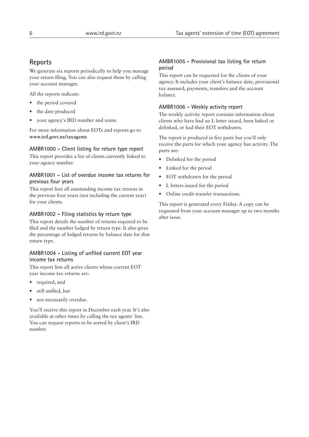## **Reports**

We generate six reports periodically to help you manage your return filing. You can also request them by calling your account manager.

All the reports indicate:

- the period covered
- the date produced
- your agency's IRD number and name.

For more information about EOTs and reports go to **www.ird.govt.nz/taxagents**

#### **AMBR1000 - Client listing for return type report**

This report provides a list of clients currently linked to your agency number.

#### **AMBR1001 - List of overdue income tax returns for previous four years**

This report lists all outstanding income tax returns in the previous four years (not including the current year) for your clients.

#### **AMBR1002 - Filing statistics by return type**

This report details the number of returns required to be filed and the number lodged by return type. It also gives the percentage of lodged returns by balance date for that return type.

#### **AMBR1004 - Listing of unfiled current EOT year income tax returns**

This report lists all active clients whose current EOT year income tax returns are:

- required, and
- still unfiled, but
- not necessarily overdue.

You'll receive this report in December each year. It's also available at other times by calling the tax agents' line. You can request reports to be sorted by client's IRD number.

#### **AMBR1005 - Provisional tax listing for return period**

This report can be requested for the clients of your agency. It includes your client's balance date, provisional tax assessed, payments, transfers and the account balance.

#### **AMBR1006 - Weekly activity report**

The weekly activity report contains information about clients who have had an L letter issued, been linked or delinked, or had their EOT withdrawn.

The report is produced in five parts but you'll only receive the parts for which your agency has activity. The parts are:

- Delinked for the period
- Linked for the period
- EOT withdrawn for the period
- L letters issued for the period
- Online credit transfer transactions.

This report is generated every Friday. A copy can be requested from your account manager up to two months after issue.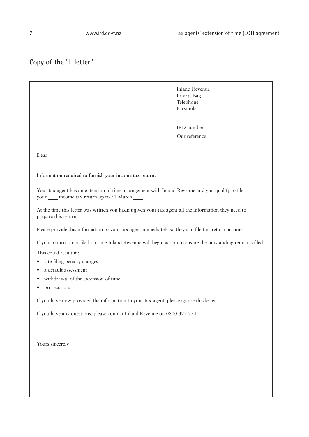# **Copy of the "L letter"**

 Inland Revenue Private Bag Telephone Facsimile

 IRD number Our reference

Dear

**Information required to furnish your income tax return.**

Your tax agent has an extension of time arrangement with Inland Revenue and you qualify to file your <u>income</u> tax return up to 31 March \_\_\_\_.

At the time this letter was written you hadn't given your tax agent all the information they need to prepare this return.

Please provide this information to your tax agent immediately so they can file this return on time.

If your return is not filed on time Inland Revenue will begin action to ensure the outstanding return is filed.

This could result in:

- late filing penalty charges
- a default assessment
- withdrawal of the extension of time
- prosecution.

If you have now provided the information to your tax agent, please ignore this letter.

If you have any questions, please contact Inland Revenue on 0800 377 774.

Yours sincerely